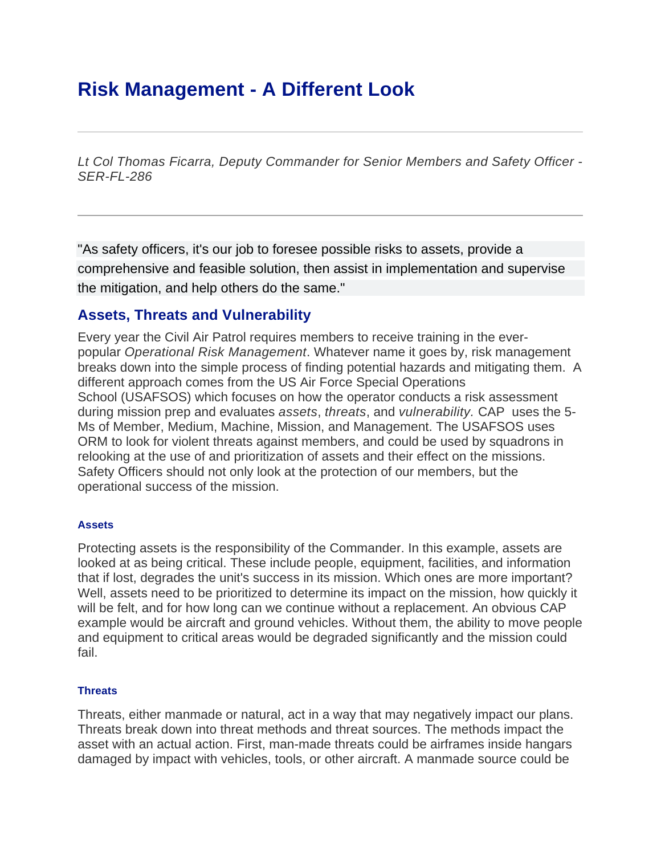# **Risk Management - A Different Look**

*Lt Col Thomas Ficarra, Deputy Commander for Senior Members and Safety Officer - SER-FL-286*

"As safety officers, it's our job to foresee possible risks to assets, provide a comprehensive and feasible solution, then assist in implementation and supervise the mitigation, and help others do the same."

# **Assets, Threats and Vulnerability**

Every year the Civil Air Patrol requires members to receive training in the everpopular *Operational Risk Management*. Whatever name it goes by, risk management breaks down into the simple process of finding potential hazards and mitigating them. A different approach comes from the US Air Force Special Operations School (USAFSOS) which focuses on how the operator conducts a risk assessment during mission prep and evaluates *assets*, *threats*, and *vulnerability.* CAP uses the 5- Ms of Member, Medium, Machine, Mission, and Management. The USAFSOS uses ORM to look for violent threats against members, and could be used by squadrons in relooking at the use of and prioritization of assets and their effect on the missions. Safety Officers should not only look at the protection of our members, but the operational success of the mission.

## **Assets**

Protecting assets is the responsibility of the Commander. In this example, assets are looked at as being critical. These include people, equipment, facilities, and information that if lost, degrades the unit's success in its mission. Which ones are more important? Well, assets need to be prioritized to determine its impact on the mission, how quickly it will be felt, and for how long can we continue without a replacement. An obvious CAP example would be aircraft and ground vehicles. Without them, the ability to move people and equipment to critical areas would be degraded significantly and the mission could fail.

#### **Threats**

Threats, either manmade or natural, act in a way that may negatively impact our plans. Threats break down into threat methods and threat sources. The methods impact the asset with an actual action. First, man-made threats could be airframes inside hangars damaged by impact with vehicles, tools, or other aircraft. A manmade source could be